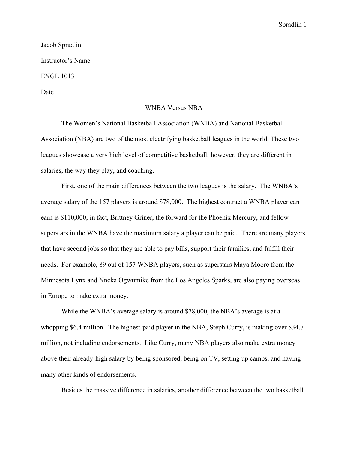## Spradlin 1

## Jacob Spradlin Instructor's Name ENGL 1013 Date

## WNBA Versus NBA

The Women's National Basketball Association (WNBA) and National Basketball Association (NBA) are two of the most electrifying basketball leagues in the world. These two leagues showcase a very high level of competitive basketball; however, they are different in salaries, the way they play, and coaching.

First, one of the main differences between the two leagues is the salary. The WNBA's average salary of the 157 players is around \$78,000. The highest contract a WNBA player can earn is \$110,000; in fact, Brittney Griner, the forward for the Phoenix Mercury, and fellow superstars in the WNBA have the maximum salary a player can be paid. There are many players that have second jobs so that they are able to pay bills, support their families, and fulfill their needs. For example, 89 out of 157 WNBA players, such as superstars Maya Moore from the Minnesota Lynx and Nneka Ogwumike from the Los Angeles Sparks, are also paying overseas in Europe to make extra money.

While the WNBA's average salary is around \$78,000, the NBA's average is at a whopping \$6.4 million. The highest-paid player in the NBA, Steph Curry, is making over \$34.7 million, not including endorsements. Like Curry, many NBA players also make extra money above their already-high salary by being sponsored, being on TV, setting up camps, and having many other kinds of endorsements.

Besides the massive difference in salaries, another difference between the two basketball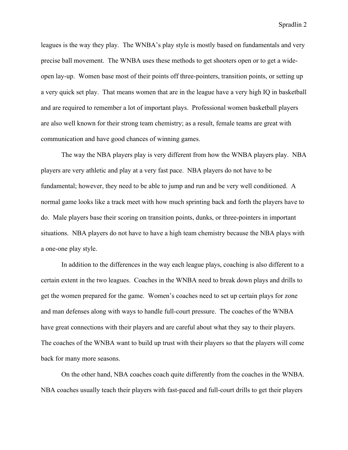Spradlin 2

leagues is the way they play. The WNBA's play style is mostly based on fundamentals and very precise ball movement. The WNBA uses these methods to get shooters open or to get a wideopen lay-up. Women base most of their points off three-pointers, transition points, or setting up a very quick set play. That means women that are in the league have a very high IQ in basketball and are required to remember a lot of important plays. Professional women basketball players are also well known for their strong team chemistry; as a result, female teams are great with communication and have good chances of winning games.

The way the NBA players play is very different from how the WNBA players play. NBA players are very athletic and play at a very fast pace. NBA players do not have to be fundamental; however, they need to be able to jump and run and be very well conditioned. A normal game looks like a track meet with how much sprinting back and forth the players have to do. Male players base their scoring on transition points, dunks, or three-pointers in important situations. NBA players do not have to have a high team chemistry because the NBA plays with a one-one play style.

In addition to the differences in the way each league plays, coaching is also different to a certain extent in the two leagues. Coaches in the WNBA need to break down plays and drills to get the women prepared for the game. Women's coaches need to set up certain plays for zone and man defenses along with ways to handle full-court pressure. The coaches of the WNBA have great connections with their players and are careful about what they say to their players. The coaches of the WNBA want to build up trust with their players so that the players will come back for many more seasons.

On the other hand, NBA coaches coach quite differently from the coaches in the WNBA. NBA coaches usually teach their players with fast-paced and full-court drills to get their players